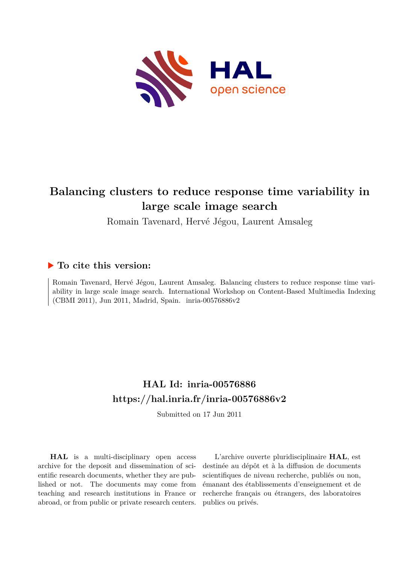

# **Balancing clusters to reduce response time variability in large scale image search**

Romain Tavenard, Hervé Jégou, Laurent Amsaleg

# **To cite this version:**

Romain Tavenard, Hervé Jégou, Laurent Amsaleg. Balancing clusters to reduce response time variability in large scale image search. International Workshop on Content-Based Multimedia Indexing (CBMI 2011), Jun 2011, Madrid, Spain. inria-00576886v2

# **HAL Id: inria-00576886 <https://hal.inria.fr/inria-00576886v2>**

Submitted on 17 Jun 2011

**HAL** is a multi-disciplinary open access archive for the deposit and dissemination of scientific research documents, whether they are published or not. The documents may come from teaching and research institutions in France or abroad, or from public or private research centers.

L'archive ouverte pluridisciplinaire **HAL**, est destinée au dépôt et à la diffusion de documents scientifiques de niveau recherche, publiés ou non, émanant des établissements d'enseignement et de recherche français ou étrangers, des laboratoires publics ou privés.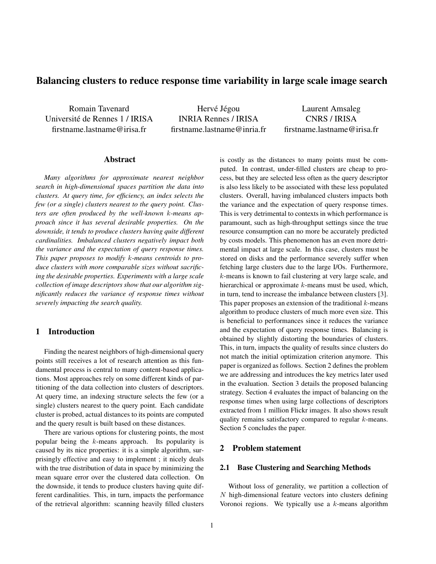# Balancing clusters to reduce response time variability in large scale image search

Romain Tavenard Universite de Rennes 1 / IRISA ´ firstname.lastname@irisa.fr

Hervé Jégou INRIA Rennes / IRISA firstname.lastname@inria.fr

Laurent Amsaleg CNRS / IRISA firstname.lastname@irisa.fr

## Abstract

*Many algorithms for approximate nearest neighbor search in high-dimensional spaces partition the data into clusters. At query time, for efficiency, an index selects the few (or a single) clusters nearest to the query point. Clusters are often produced by the well-known* k*-means approach since it has several desirable properties. On the downside, it tends to produce clusters having quite different cardinalities. Imbalanced clusters negatively impact both the variance and the expectation of query response times. This paper proposes to modify* k*-means centroids to produce clusters with more comparable sizes without sacrificing the desirable properties. Experiments with a large scale collection of image descriptors show that our algorithm significantly reduces the variance of response times without severely impacting the search quality.*

# 1 Introduction

Finding the nearest neighbors of high-dimensional query points still receives a lot of research attention as this fundamental process is central to many content-based applications. Most approaches rely on some different kinds of partitioning of the data collection into clusters of descriptors. At query time, an indexing structure selects the few (or a single) clusters nearest to the query point. Each candidate cluster is probed, actual distances to its points are computed and the query result is built based on these distances.

There are various options for clustering points, the most popular being the k-means approach. Its popularity is caused by its nice properties: it is a simple algorithm, surprisingly effective and easy to implement ; it nicely deals with the true distribution of data in space by minimizing the mean square error over the clustered data collection. On the downside, it tends to produce clusters having quite different cardinalities. This, in turn, impacts the performance of the retrieval algorithm: scanning heavily filled clusters

is costly as the distances to many points must be computed. In contrast, under-filled clusters are cheap to process, but they are selected less often as the query descriptor is also less likely to be associated with these less populated clusters. Overall, having imbalanced clusters impacts both the variance and the expectation of query response times. This is very detrimental to contexts in which performance is paramount, such as high-throughput settings since the true resource consumption can no more be accurately predicted by costs models. This phenomenon has an even more detrimental impact at large scale. In this case, clusters must be stored on disks and the performance severely suffer when fetching large clusters due to the large I/Os. Furthermore, k-means is known to fail clustering at very large scale, and hierarchical or approximate k-means must be used, which, in turn, tend to increase the imbalance between clusters [3]. This paper proposes an extension of the traditional  $k$ -means algorithm to produce clusters of much more even size. This is beneficial to performances since it reduces the variance and the expectation of query response times. Balancing is obtained by slightly distorting the boundaries of clusters. This, in turn, impacts the quality of results since clusters do not match the initial optimization criterion anymore. This paper is organized as follows. Section 2 defines the problem we are addressing and introduces the key metrics later used in the evaluation. Section 3 details the proposed balancing strategy. Section 4 evaluates the impact of balancing on the response times when using large collections of descriptors extracted from 1 million Flickr images. It also shows result quality remains satisfactory compared to regular k-means. Section 5 concludes the paper.

# 2 Problem statement

#### 2.1 Base Clustering and Searching Methods

Without loss of generality, we partition a collection of  $N$  high-dimensional feature vectors into clusters defining Voronoi regions. We typically use a  $k$ -means algorithm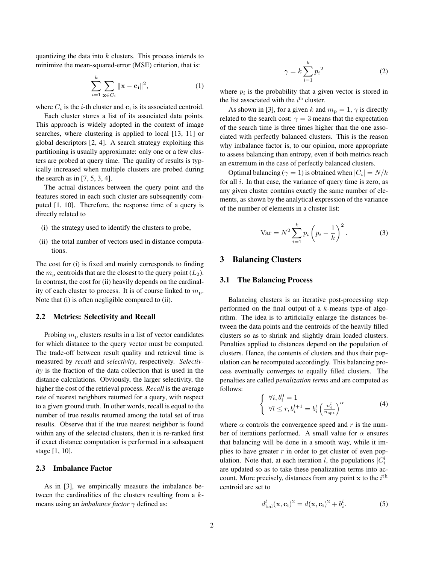quantizing the data into  $k$  clusters. This process intends to minimize the mean-squared-error (MSE) criterion, that is:

$$
\sum_{i=1}^{k} \sum_{\mathbf{x} \in C_i} \|\mathbf{x} - \mathbf{c_i}\|^2,
$$
 (1)

where  $C_i$  is the *i*-th cluster and  $c_i$  is its associated centroid.

Each cluster stores a list of its associated data points. This approach is widely adopted in the context of image searches, where clustering is applied to local [13, 11] or global descriptors [2, 4]. A search strategy exploiting this partitioning is usually approximate: only one or a few clusters are probed at query time. The quality of results is typically increased when multiple clusters are probed during the search as in [7, 5, 3, 4].

The actual distances between the query point and the features stored in each such cluster are subsequently computed [1, 10]. Therefore, the response time of a query is directly related to

- (i) the strategy used to identify the clusters to probe,
- (ii) the total number of vectors used in distance computations.

The cost for (i) is fixed and mainly corresponds to finding the  $m_p$  centroids that are the closest to the query point  $(L_2)$ . In contrast, the cost for (ii) heavily depends on the cardinality of each cluster to process. It is of course linked to  $m_{\rm p}$ . Note that (i) is often negligible compared to (ii).

#### 2.2 Metrics: Selectivity and Recall

Probing  $m_{\rm p}$  clusters results in a list of vector candidates for which distance to the query vector must be computed. The trade-off between result quality and retrieval time is measured by *recall* and *selectivity*, respectively. *Selectivity* is the fraction of the data collection that is used in the distance calculations. Obviously, the larger selectivity, the higher the cost of the retrieval process. *Recall* is the average rate of nearest neighbors returned for a query, with respect to a given ground truth. In other words, recall is equal to the number of true results returned among the total set of true results. Observe that if the true nearest neighbor is found within any of the selected clusters, then it is re-ranked first if exact distance computation is performed in a subsequent stage [1, 10].

### 2.3 Imbalance Factor

As in [3], we empirically measure the imbalance between the cardinalities of the clusters resulting from a kmeans using an *imbalance factor* γ defined as:

$$
\gamma = k \sum_{i=1}^{k} p_i^2 \tag{2}
$$

where  $p_i$  is the probability that a given vector is stored in the list associated with the  $i<sup>th</sup>$  cluster.

As shown in [3], for a given k and  $m_p = 1$ ,  $\gamma$  is directly related to the search cost:  $\gamma = 3$  means that the expectation of the search time is three times higher than the one associated with perfectly balanced clusters. This is the reason why imbalance factor is, to our opinion, more appropriate to assess balancing than entropy, even if both metrics reach an extremum in the case of perfectly balanced clusters.

Optimal balancing ( $\gamma = 1$ ) is obtained when  $|C_i| = N/k$ for all  $i$ . In that case, the variance of query time is zero, as any given cluster contains exactly the same number of elements, as shown by the analytical expression of the variance of the number of elements in a cluster list:

$$
Var = N^2 \sum_{i=1}^{k} p_i \left( p_i - \frac{1}{k} \right)^2.
$$
 (3)

# 3 Balancing Clusters

#### 3.1 The Balancing Process

Balancing clusters is an iterative post-processing step performed on the final output of a  $k$ -means type-of algorithm. The idea is to artificially enlarge the distances between the data points and the centroids of the heavily filled clusters so as to shrink and slightly drain loaded clusters. Penalties applied to distances depend on the population of clusters. Hence, the contents of clusters and thus their population can be recomputed accordingly. This balancing process eventually converges to equally filled clusters. The penalties are called *penalization terms* and are computed as follows:

$$
\begin{cases} \forall i, b_i^0 = 1\\ \forall l \le r, b_i^{l+1} = b_i^l \left(\frac{n_i^l}{n_{\text{opt}}}\right)^\alpha \end{cases} \tag{4}
$$

where  $\alpha$  controls the convergence speed and r is the number of iterations performed. A small value for  $\alpha$  ensures that balancing will be done in a smooth way, while it implies to have greater  $r$  in order to get cluster of even population. Note that, at each iteration l, the populations  $|C_i^l|$ are updated so as to take these penalization terms into account. More precisely, distances from any point  $x$  to the  $i<sup>th</sup>$ centroid are set to

$$
d_{\text{bal}}^l(\mathbf{x}, \mathbf{c_i})^2 = d(\mathbf{x}, \mathbf{c_i})^2 + b_i^l.
$$
 (5)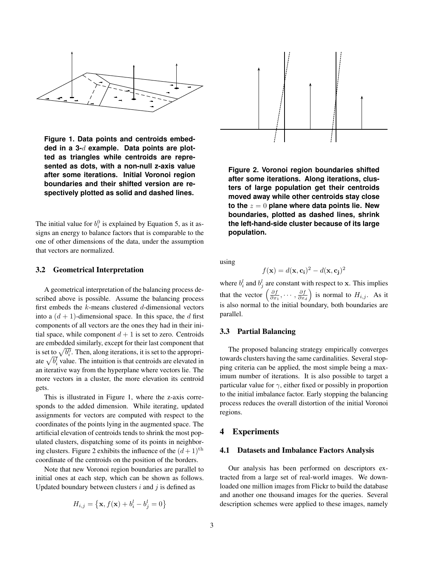

**Figure 1. Data points and centroids embedded in a 3-**d **example. Data points are plotted as triangles while centroids are represented as dots, with a non-null z-axis value after some iterations. Initial Voronoi region boundaries and their shifted version are respectively plotted as solid and dashed lines.**

The initial value for  $b_i^0$  is explained by Equation 5, as it assigns an energy to balance factors that is comparable to the one of other dimensions of the data, under the assumption that vectors are normalized.

# 3.2 Geometrical Interpretation

A geometrical interpretation of the balancing process described above is possible. Assume the balancing process first embeds the  $k$ -means clustered  $d$ -dimensional vectors into a  $(d + 1)$ -dimensional space. In this space, the d first components of all vectors are the ones they had in their initial space, while component  $d + 1$  is set to zero. Centroids are embedded similarly, except for their last component that is set to  $\sqrt{b_i^0}$ . Then, along iterations, it is set to the appropriate  $\sqrt{b_i^l}$  value. The intuition is that centroids are elevated in an iterative way from the hyperplane where vectors lie. The more vectors in a cluster, the more elevation its centroid gets.

This is illustrated in Figure 1, where the z-axis corresponds to the added dimension. While iterating, updated assignments for vectors are computed with respect to the coordinates of the points lying in the augmented space. The artificial elevation of centroids tends to shrink the most populated clusters, dispatching some of its points in neighboring clusters. Figure 2 exhibits the influence of the  $(d+1)$ <sup>th</sup> coordinate of the centroids on the position of the borders.

Note that new Voronoi region boundaries are parallel to initial ones at each step, which can be shown as follows. Updated boundary between clusters  $i$  and  $j$  is defined as

$$
H_{i,j} = \left\{ \mathbf{x}, f(\mathbf{x}) + b_i^l - b_j^l = 0 \right\}
$$



**Figure 2. Voronoi region boundaries shifted after some iterations. Along iterations, clusters of large population get their centroids moved away while other centroids stay close to the** z = 0 **plane where data points lie. New boundaries, plotted as dashed lines, shrink the left-hand-side cluster because of its large population.**

using

$$
f(\mathbf{x}) = d(\mathbf{x}, \mathbf{c_i})^2 - d(\mathbf{x}, \mathbf{c_j})^2
$$

where  $b_i^l$  and  $b_j^l$  are constant with respect to x. This implies that the vector  $\left(\frac{\partial f}{\partial x_1}, \cdots, \frac{\partial f}{\partial x_d}\right)$  is normal to  $H_{i,j}$ . As it is also normal to the initial boundary, both boundaries are parallel.

#### 3.3 Partial Balancing

The proposed balancing strategy empirically converges towards clusters having the same cardinalities. Several stopping criteria can be applied, the most simple being a maximum number of iterations. It is also possible to target a particular value for  $\gamma$ , either fixed or possibly in proportion to the initial imbalance factor. Early stopping the balancing process reduces the overall distortion of the initial Voronoi regions.

# 4 Experiments

### 4.1 Datasets and Imbalance Factors Analysis

Our analysis has been performed on descriptors extracted from a large set of real-world images. We downloaded one million images from Flickr to build the database and another one thousand images for the queries. Several description schemes were applied to these images, namely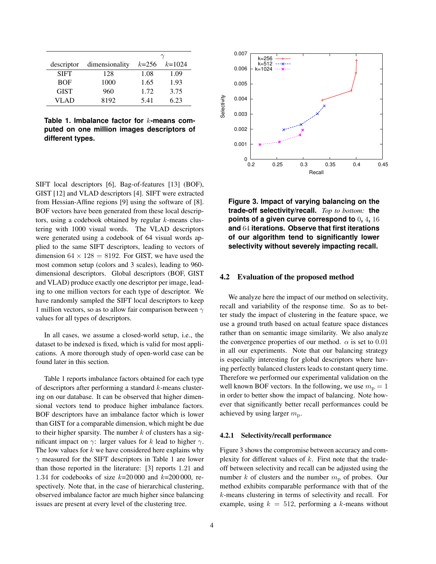| descriptor  | dimensionality | $k = 256$ | $k=1024$ |
|-------------|----------------|-----------|----------|
| <b>SIFT</b> | 128            | 1.08      | 1.09     |
| <b>BOF</b>  | 1000           | 1.65      | 1.93     |
| <b>GIST</b> | 960            | 1.72      | 3.75     |
| VLAD        | 8192           | 5.41      | 6.23     |

**Table 1. Imbalance factor for** k**-means computed on one million images descriptors of different types.**

SIFT local descriptors [6], Bag-of-features [13] (BOF), GIST [12] and VLAD descriptors [4]. SIFT were extracted from Hessian-Affine regions [9] using the software of [8]. BOF vectors have been generated from these local descriptors, using a codebook obtained by regular k-means clustering with 1000 visual words. The VLAD descriptors were generated using a codebook of 64 visual words applied to the same SIFT descriptors, leading to vectors of dimension  $64 \times 128 = 8192$ . For GIST, we have used the most common setup (colors and 3 scales), leading to 960 dimensional descriptors. Global descriptors (BOF, GIST and VLAD) produce exactly one descriptor per image, leading to one million vectors for each type of descriptor. We have randomly sampled the SIFT local descriptors to keep 1 million vectors, so as to allow fair comparison between  $\gamma$ values for all types of descriptors.

In all cases, we assume a closed-world setup, i.e., the dataset to be indexed is fixed, which is valid for most applications. A more thorough study of open-world case can be found later in this section.

Table 1 reports imbalance factors obtained for each type of descriptors after performing a standard  $k$ -means clustering on our database. It can be observed that higher dimensional vectors tend to produce higher imbalance factors. BOF descriptors have an imbalance factor which is lower than GIST for a comparable dimension, which might be due to their higher sparsity. The number  $k$  of clusters has a significant impact on  $\gamma$ : larger values for k lead to higher  $\gamma$ . The low values for  $k$  we have considered here explains why  $\gamma$  measured for the SIFT descriptors in Table 1 are lower than those reported in the literature: [3] reports 1.21 and 1.34 for codebooks of size  $k=20000$  and  $k=200000$ , respectively. Note that, in the case of hierarchical clustering, observed imbalance factor are much higher since balancing issues are present at every level of the clustering tree.



**Figure 3. Impact of varying balancing on the trade-off selectivity/recall.** *Top to bottom:* **the points of a given curve correspond to** 0**,** 4**,** 16 **and** 64 **iterations. Observe that first iterations of our algorithm tend to significantly lower selectivity without severely impacting recall.**

#### 4.2 Evaluation of the proposed method

We analyze here the impact of our method on selectivity, recall and variability of the response time. So as to better study the impact of clustering in the feature space, we use a ground truth based on actual feature space distances rather than on semantic image similarity. We also analyze the convergence properties of our method.  $\alpha$  is set to 0.01 in all our experiments. Note that our balancing strategy is especially interesting for global descriptors where having perfectly balanced clusters leads to constant query time. Therefore we performed our experimental validation on the well known BOF vectors. In the following, we use  $m_p = 1$ in order to better show the impact of balancing. Note however that significantly better recall performances could be achieved by using larger  $m_{\rm p}$ .

#### 4.2.1 Selectivity/recall performance

Figure 3 shows the compromise between accuracy and complexity for different values of  $k$ . First note that the tradeoff between selectivity and recall can be adjusted using the number k of clusters and the number  $m<sub>p</sub>$  of probes. Our method exhibits comparable performance with that of the k-means clustering in terms of selectivity and recall. For example, using  $k = 512$ , performing a k-means without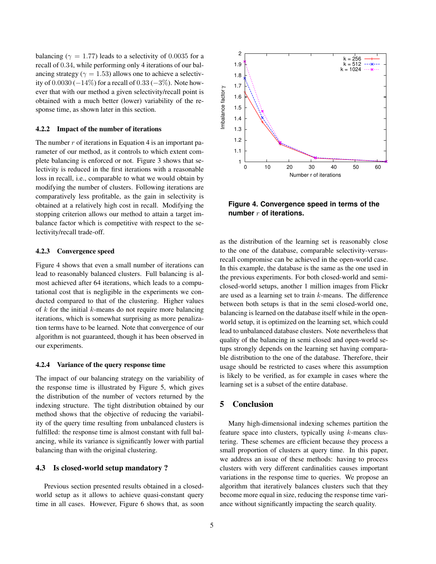balancing ( $\gamma = 1.77$ ) leads to a selectivity of 0.0035 for a recall of 0.34, while performing only 4 iterations of our balancing strategy ( $\gamma = 1.53$ ) allows one to achieve a selectivity of  $0.0030$  ( $-14\%$ ) for a recall of  $0.33$  ( $-3\%$ ). Note however that with our method a given selectivity/recall point is obtained with a much better (lower) variability of the response time, as shown later in this section.

#### 4.2.2 Impact of the number of iterations

The number  $r$  of iterations in Equation 4 is an important parameter of our method, as it controls to which extent complete balancing is enforced or not. Figure 3 shows that selectivity is reduced in the first iterations with a reasonable loss in recall, i.e., comparable to what we would obtain by modifying the number of clusters. Following iterations are comparatively less profitable, as the gain in selectivity is obtained at a relatively high cost in recall. Modifying the stopping criterion allows our method to attain a target imbalance factor which is competitive with respect to the selectivity/recall trade-off.

#### 4.2.3 Convergence speed

Figure 4 shows that even a small number of iterations can lead to reasonably balanced clusters. Full balancing is almost achieved after 64 iterations, which leads to a computational cost that is negligible in the experiments we conducted compared to that of the clustering. Higher values of  $k$  for the initial  $k$ -means do not require more balancing iterations, which is somewhat surprising as more penalization terms have to be learned. Note that convergence of our algorithm is not guaranteed, though it has been observed in our experiments.

#### 4.2.4 Variance of the query response time

The impact of our balancing strategy on the variability of the response time is illustrated by Figure 5, which gives the distribution of the number of vectors returned by the indexing structure. The tight distribution obtained by our method shows that the objective of reducing the variability of the query time resulting from unbalanced clusters is fulfilled: the response time is almost constant with full balancing, while its variance is significantly lower with partial balancing than with the original clustering.

### 4.3 Is closed-world setup mandatory ?

Previous section presented results obtained in a closedworld setup as it allows to achieve quasi-constant query time in all cases. However, Figure 6 shows that, as soon



**Figure 4. Convergence speed in terms of the number** r **of iterations.**

as the distribution of the learning set is reasonably close to the one of the database, comparable selectivity-versusrecall compromise can be achieved in the open-world case. In this example, the database is the same as the one used in the previous experiments. For both closed-world and semiclosed-world setups, another 1 million images from Flickr are used as a learning set to train k-means. The difference between both setups is that in the semi closed-world one, balancing is learned on the database itself while in the openworld setup, it is optimized on the learning set, which could lead to unbalanced database clusters. Note nevertheless that quality of the balancing in semi closed and open-world setups strongly depends on the learning set having comparable distribution to the one of the database. Therefore, their usage should be restricted to cases where this assumption is likely to be verified, as for example in cases where the learning set is a subset of the entire database.

# 5 Conclusion

Many high-dimensional indexing schemes partition the feature space into clusters, typically using k-means clustering. These schemes are efficient because they process a small proportion of clusters at query time. In this paper, we address an issue of these methods: having to process clusters with very different cardinalities causes important variations in the response time to queries. We propose an algorithm that iteratively balances clusters such that they become more equal in size, reducing the response time variance without significantly impacting the search quality.